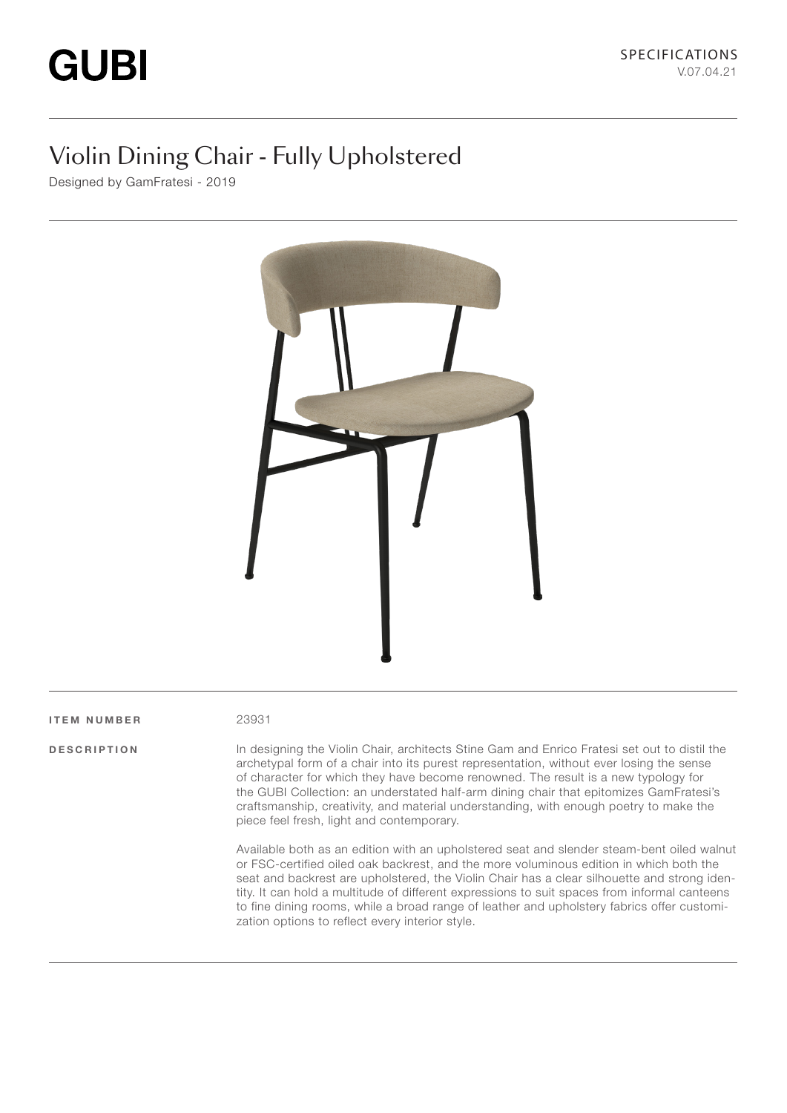# Violin Dining Chair - Fully Upholstered

Designed by GamFratesi - 2019



#### ITEM NUMBER 23931

DESCRIPTION In designing the Violin Chair, architects Stine Gam and Enrico Fratesi set out to distil the archetypal form of a chair into its purest representation, without ever losing the sense of character for which they have become renowned. The result is a new typology for the GUBI Collection: an understated half-arm dining chair that epitomizes GamFratesi's craftsmanship, creativity, and material understanding, with enough poetry to make the piece feel fresh, light and contemporary.

> Available both as an edition with an upholstered seat and slender steam-bent oiled walnut or FSC-certified oiled oak backrest, and the more voluminous edition in which both the seat and backrest are upholstered, the Violin Chair has a clear silhouette and strong identity. It can hold a multitude of different expressions to suit spaces from informal canteens to fine dining rooms, while a broad range of leather and upholstery fabrics offer customization options to reflect every interior style.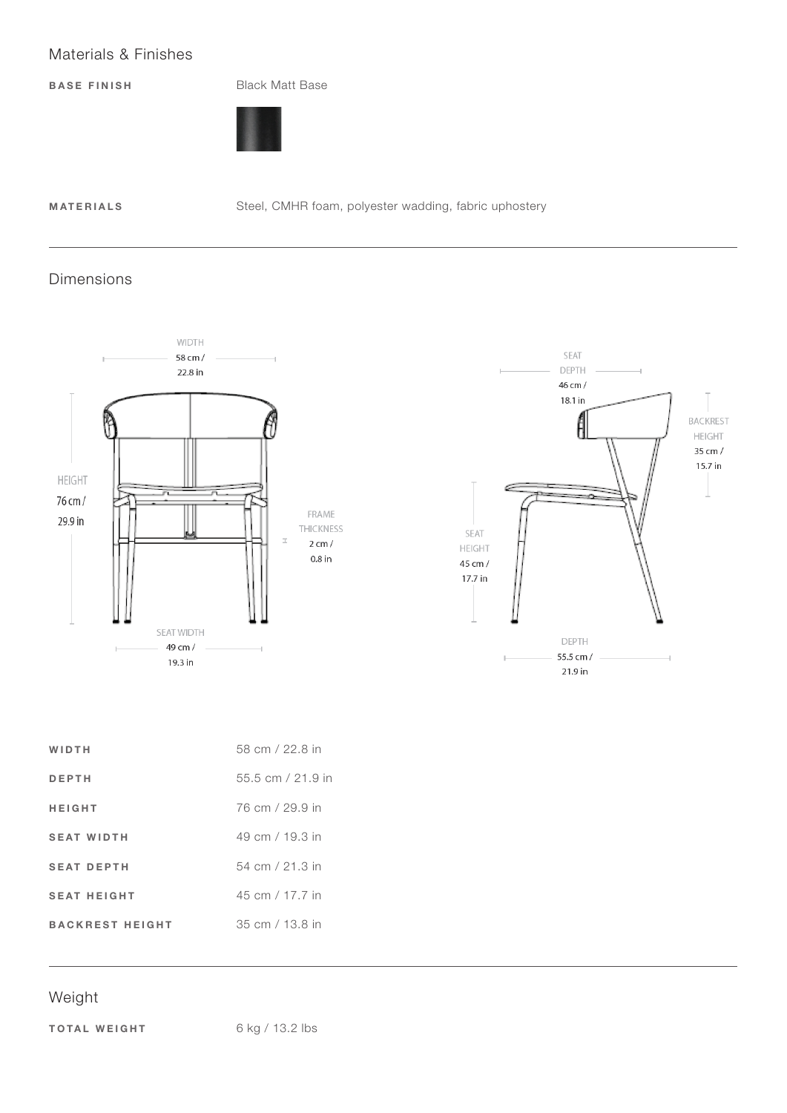# Materials & Finishes

BASE FINISH Black Matt Base



MATERIALS Steel, CMHR foam, polyester wadding, fabric uphostery

#### Dimensions





| 58 cm / 22.8 in   |
|-------------------|
| 55.5 cm / 21.9 in |
| 76 cm / 29.9 in   |
| 49 cm / 19.3 in   |
| 54 cm / 21.3 in   |
| 45 cm / 17.7 in   |
| 35 cm / 13.8 in   |
|                   |

# Weight

TOTAL WEIGHT 6 kg / 13.2 lbs